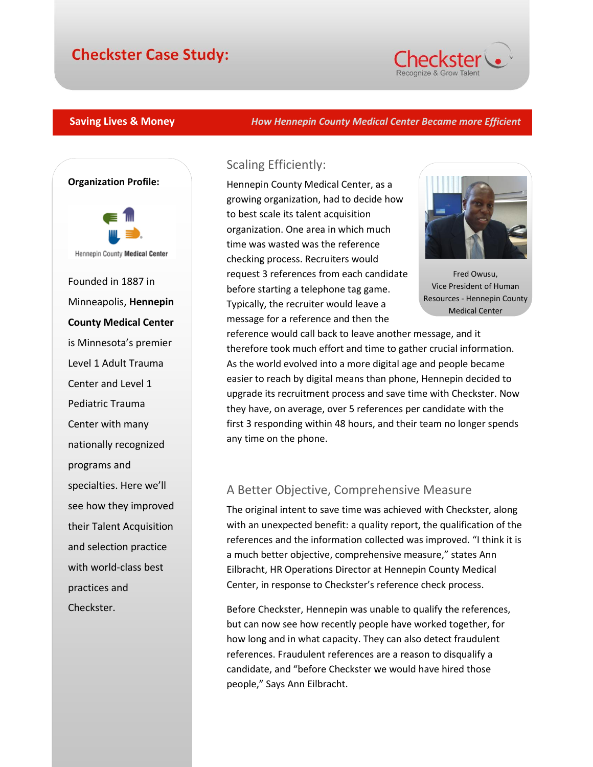# **Checkster Case Study:**



**Organization Profile:**

Founded in 1887 in

Minneapolis, **Hennepin** 

Hennepin County Medical Center

**County Medical Center**

is Minnesota's premier

Level 1 Adult Trauma

Center and Level 1

Pediatric Trauma

Center with many

programs and

nationally recognized

specialties. Here we'll

see how they improved

their Talent Acquisition

and selection practice

with world-class best

practices and

Checkster.

#### **Saving Lives & Money** *How Hennepin County Medical Center Became more Efficient*

### Scaling Efficiently:

Hennepin County Medical Center, as a growing organization, had to decide how to best scale its talent acquisition organization. One area in which much time was wasted was the reference checking process. Recruiters would request 3 references from each candidate before starting a telephone tag game. Typically, the recruiter would leave a message for a reference and then the



Fred Owusu, Vice President of Human Resources - Hennepin County Medical Center

reference would call back to leave another message, and it therefore took much effort and time to gather crucial information. As the world evolved into a more digital age and people became easier to reach by digital means than phone, Hennepin decided to upgrade its recruitment process and save time with Checkster. Now they have, on average, over 5 references per candidate with the first 3 responding within 48 hours, and their team no longer spends any time on the phone.

#### A Better Objective, Comprehensive Measure

The original intent to save time was achieved with Checkster, along with an unexpected benefit: a quality report, the qualification of the references and the information collected was improved. "I think it is a much better objective, comprehensive measure," states Ann Eilbracht, HR Operations Director at Hennepin County Medical Center, in response to Checkster's reference check process.

Before Checkster, Hennepin was unable to qualify the references, but can now see how recently people have worked together, for how long and in what capacity. They can also detect fraudulent references. Fraudulent references are a reason to disqualify a candidate, and "before Checkster we would have hired those people," Says Ann Eilbracht.